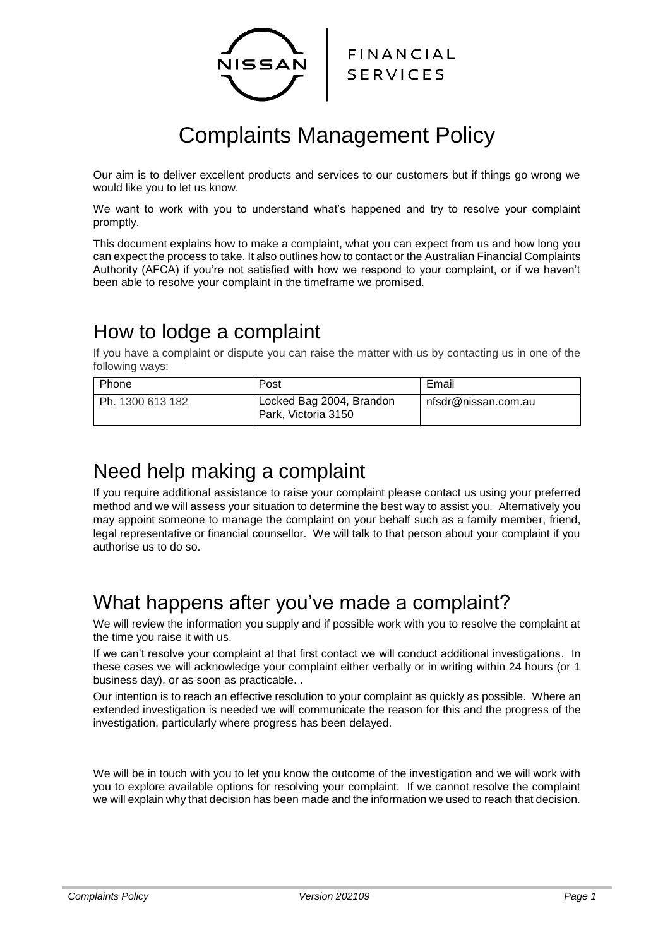

# Complaints Management Policy

Our aim is to deliver excellent products and services to our customers but if things go wrong we would like you to let us know.

We want to work with you to understand what's happened and try to resolve your complaint promptly.

This document explains how to make a complaint, what you can expect from us and how long you can expect the process to take. It also outlines how to contact or the Australian Financial Complaints Authority (AFCA) if you're not satisfied with how we respond to your complaint, or if we haven't been able to resolve your complaint in the timeframe we promised.

## How to lodge a complaint

If you have a complaint or dispute you can raise the matter with us by contacting us in one of the following ways:

| Phone            | Post                                            | Email               |
|------------------|-------------------------------------------------|---------------------|
| Ph. 1300 613 182 | Locked Bag 2004, Brandon<br>Park, Victoria 3150 | nfsdr@nissan.com.au |

### Need help making a complaint

If you require additional assistance to raise your complaint please contact us using your preferred method and we will assess your situation to determine the best way to assist you. Alternatively you may appoint someone to manage the complaint on your behalf such as a family member, friend, legal representative or financial counsellor. We will talk to that person about your complaint if you authorise us to do so.

## What happens after you've made a complaint?

We will review the information you supply and if possible work with you to resolve the complaint at the time you raise it with us.

If we can't resolve your complaint at that first contact we will conduct additional investigations. In these cases we will acknowledge your complaint either verbally or in writing within 24 hours (or 1 business day), or as soon as practicable. .

Our intention is to reach an effective resolution to your complaint as quickly as possible. Where an extended investigation is needed we will communicate the reason for this and the progress of the investigation, particularly where progress has been delayed.

We will be in touch with you to let you know the outcome of the investigation and we will work with you to explore available options for resolving your complaint. If we cannot resolve the complaint we will explain why that decision has been made and the information we used to reach that decision.